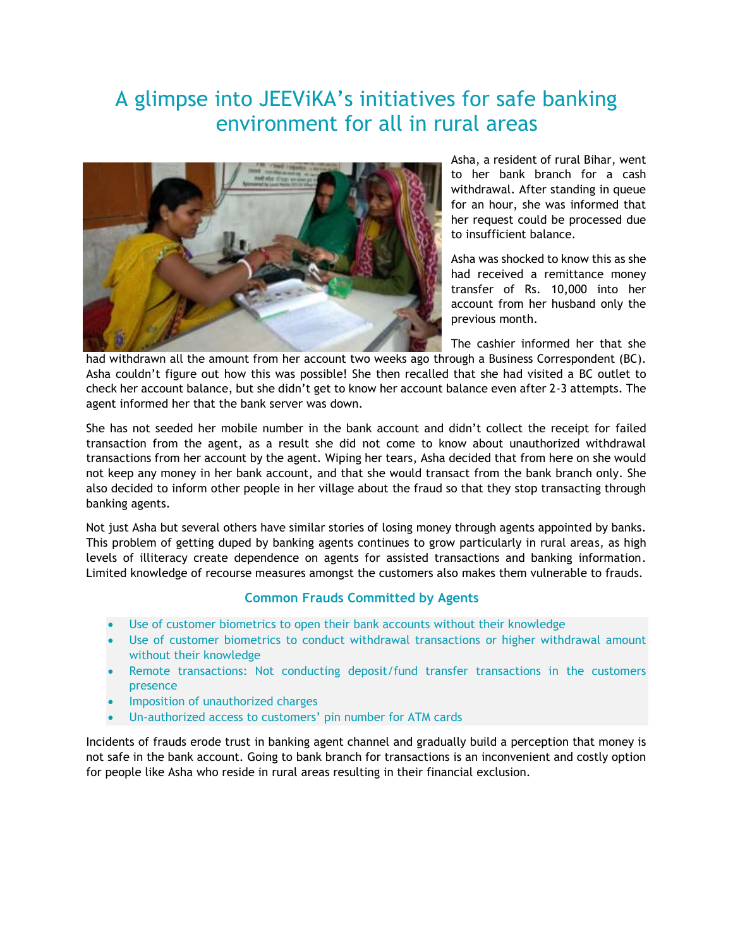# A glimpse into JEEViKA's initiatives for safe banking environment for all in rural areas



Asha, a resident of rural Bihar, went to her bank branch for a cash withdrawal. After standing in queue for an hour, she was informed that her request could be processed due to insufficient balance.

Asha was shocked to know this as she had received a remittance money transfer of Rs. 10,000 into her account from her husband only the previous month.

The cashier informed her that she

had withdrawn all the amount from her account two weeks ago through a Business Correspondent (BC). Asha couldn't figure out how this was possible! She then recalled that she had visited a BC outlet to check her account balance, but she didn't get to know her account balance even after 2-3 attempts. The agent informed her that the bank server was down.

She has not seeded her mobile number in the bank account and didn't collect the receipt for failed transaction from the agent, as a result she did not come to know about unauthorized withdrawal transactions from her account by the agent. Wiping her tears, Asha decided that from here on she would not keep any money in her bank account, and that she would transact from the bank branch only. She also decided to inform other people in her village about the fraud so that they stop transacting through banking agents.

Not just Asha but several others have similar stories of losing money through agents appointed by banks. This problem of getting duped by banking agents continues to grow particularly in rural areas, as high levels of illiteracy create dependence on agents for assisted transactions and banking information. Limited knowledge of recourse measures amongst the customers also makes them vulnerable to frauds.

### **Common Frauds Committed by Agents**

- Use of customer biometrics to open their bank accounts without their knowledge
- Use of customer biometrics to conduct withdrawal transactions or higher withdrawal amount without their knowledge
- Remote transactions: Not conducting deposit/fund transfer transactions in the customers presence
- Imposition of unauthorized charges
- Un-authorized access to customers' pin number for ATM cards

Incidents of frauds erode trust in banking agent channel and gradually build a perception that money is not safe in the bank account. Going to bank branch for transactions is an inconvenient and costly option for people like Asha who reside in rural areas resulting in their financial exclusion.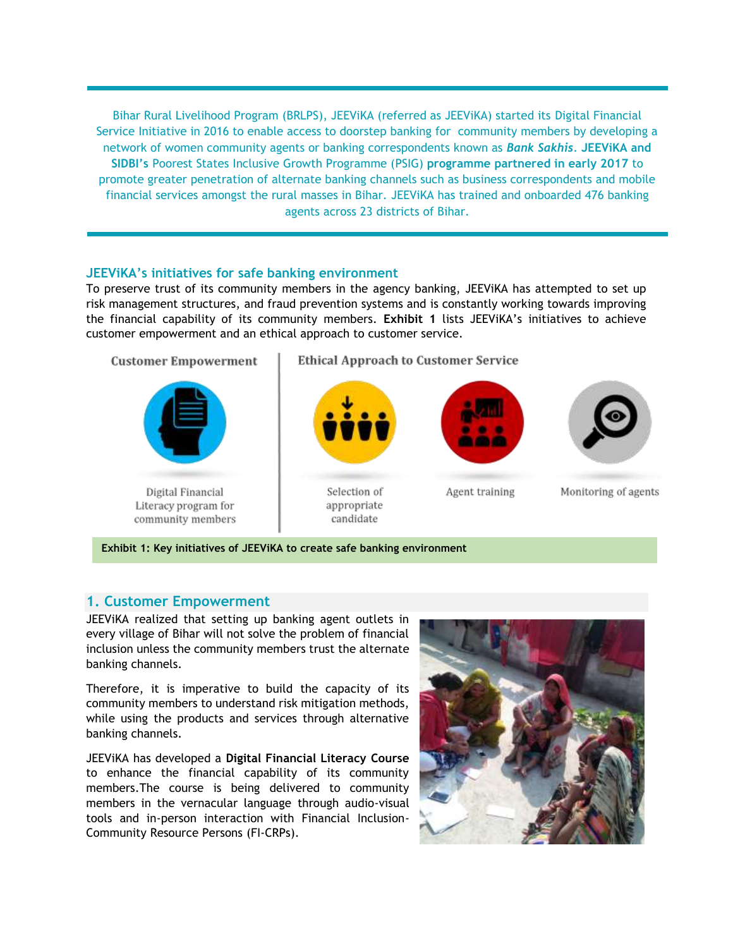Bihar Rural Livelihood Program (BRLPS), JEEViKA (referred as JEEViKA) started its Digital Financial Service Initiative in 2016 to enable access to doorstep banking for community members by developing a network of women community agents or banking correspondents known as *Bank Sakhis*. **JEEViKA and SIDBI's** Poorest States Inclusive Growth Programme (PSIG) **programme partnered in early 2017** to promote greater penetration of alternate banking channels such as business correspondents and mobile financial services amongst the rural masses in Bihar. JEEViKA has trained and onboarded 476 banking agents across 23 districts of Bihar.

#### **JEEViKA's initiatives for safe banking environment**

To preserve trust of its community members in the agency banking, JEEViKA has attempted to set up risk management structures, and fraud prevention systems and is constantly working towards improving the financial capability of its community members. **Exhibit 1** lists JEEViKA's initiatives to achieve customer empowerment and an ethical approach to customer service.



**Exhibit 1: Key initiatives of JEEViKA to create safe banking environment**

### **1. Customer Empowerment**

JEEViKA realized that setting up banking agent outlets in every village of Bihar will not solve the problem of financial inclusion unless the community members trust the alternate banking channels.

Therefore, it is imperative to build the capacity of its community members to understand risk mitigation methods, while using the products and services through alternative banking channels.

JEEViKA has developed a **Digital Financial Literacy Course** to enhance the financial capability of its community members.The course is being delivered to community members in the vernacular language through audio-visual tools and in-person interaction with Financial Inclusion-Community Resource Persons (FI-CRPs).

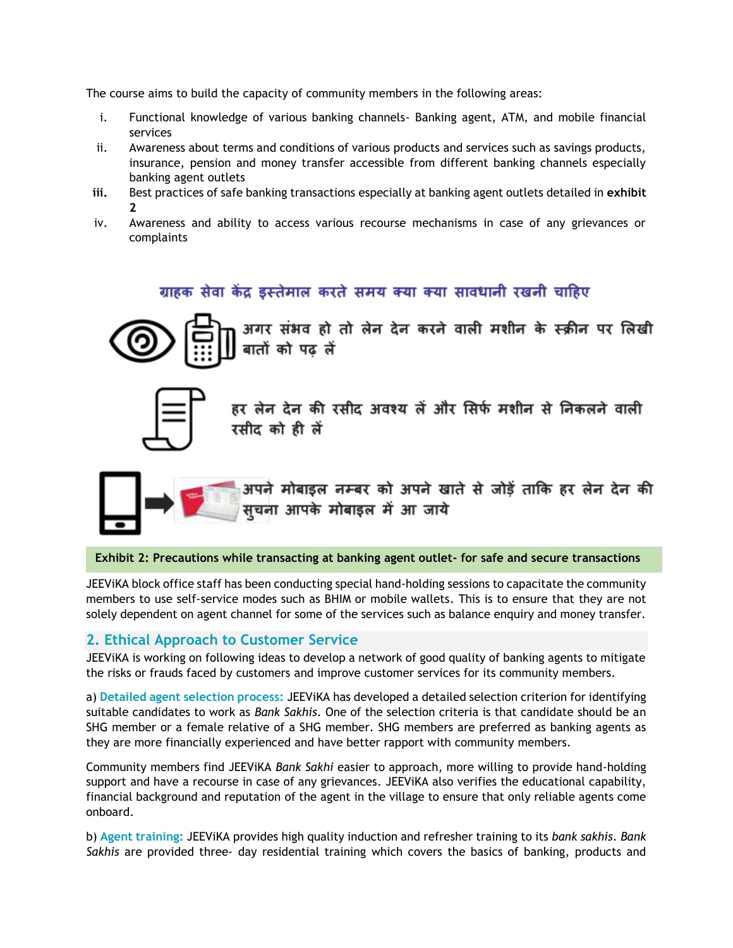The course aims to build the capacity of community members in the following areas:

- i. Functional knowledge of various banking channels- Banking agent, ATM, and mobile financial services
- ii. Awareness about terms and conditions of various products and services such as savings products, insurance, pension and money transfer accessible from different banking channels especially banking agent outlets
- **iii.** Best practices of safe banking transactions especially at banking agent outlets detailed in **exhibit 2**
- iv. Awareness and ability to access various recourse mechanisms in case of any grievances or complaints

# ग्राहक सेवा केंद्र डस्तेमाल करते समय क्या क्या सावधानी रखनी चाहिए



अगर संभव हो तो लेन देन करने वाली मशीन के स्क्रीन पर लिखी बातों को पढ लें



हर लेन देन की रसीद अवश्य लें और सिर्फ मशीन से निकलने वाली रसीद को ही लें



अपने मोबाइल नम्बर को अपने खाते से जोड़ें ताकि हर लेन देन की .<br>सूचना आपके मोबाइल में आ जाये

**Exhibit 2: Precautions while transacting at banking agent outlet- for safe and secure transactions**

JEEViKA block office staff has been conducting special hand-holding sessions to capacitate the community members to use self-service modes such as BHIM or mobile wallets. This is to ensure that they are not solely dependent on agent channel for some of the services such as balance enquiry and money transfer.

### **2. Ethical Approach to Customer Service**

JEEViKA is working on following ideas to develop a network of good quality of banking agents to mitigate the risks or frauds faced by customers and improve customer services for its community members.

a) **Detailed agent selection process:** JEEViKA has developed a detailed selection criterion for identifying suitable candidates to work as *Bank Sakhis*. One of the selection criteria is that candidate should be an SHG member or a female relative of a SHG member. SHG members are preferred as banking agents as they are more financially experienced and have better rapport with community members.

Community members find JEEViKA *Bank Sakhi* easier to approach, more willing to provide hand-holding support and have a recourse in case of any grievances. JEEViKA also verifies the educational capability, financial background and reputation of the agent in the village to ensure that only reliable agents come onboard.

b) **Agent training:** JEEViKA provides high quality induction and refresher training to its *bank sakhis*. *Bank Sakhis* are provided three- day residential training which covers the basics of banking, products and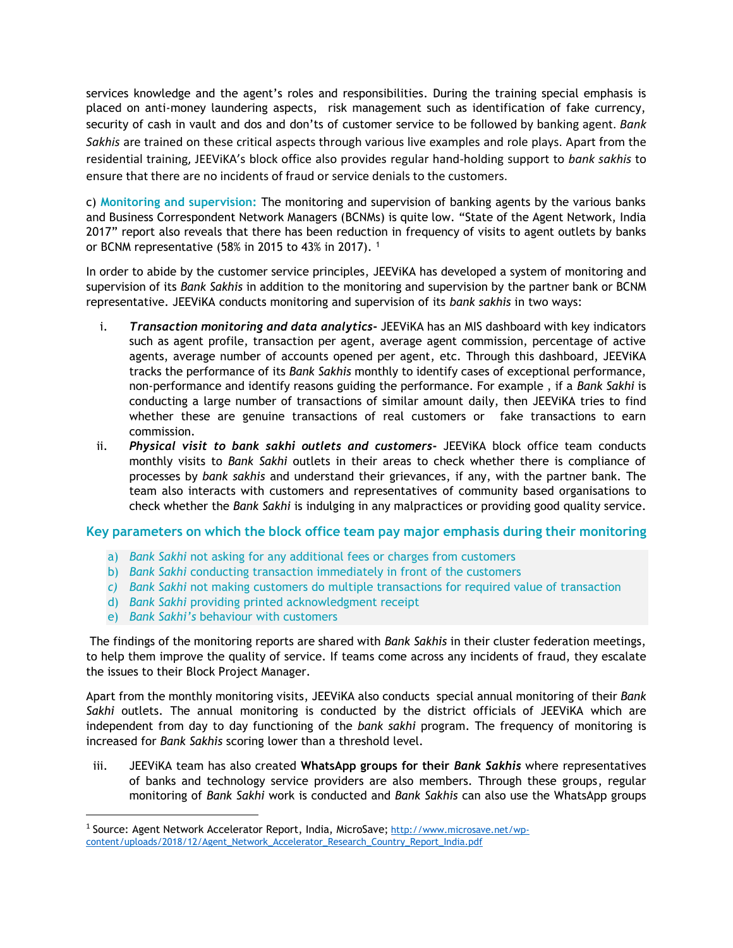services knowledge and the agent's roles and responsibilities. During the training special emphasis is placed on anti-money laundering aspects, risk management such as identification of fake currency, security of cash in vault and dos and don'ts of customer service to be followed by banking agent. *Bank Sakhis* are trained on these critical aspects through various live examples and role plays. Apart from the residential training, JEEViKA's block office also provides regular hand-holding support to *bank sakhis* to ensure that there are no incidents of fraud or service denials to the customers.

c) **Monitoring and supervision:** The monitoring and supervision of banking agents by the various banks and Business Correspondent Network Managers (BCNMs) is quite low. "State of the Agent Network, India 2017" report also reveals that there has been reduction in frequency of visits to agent outlets by banks or BCNM representative (58% in 2015 to 43% in 2017).  $1$ 

In order to abide by the customer service principles, JEEViKA has developed a system of monitoring and supervision of its *Bank Sakhis* in addition to the monitoring and supervision by the partner bank or BCNM representative. JEEViKA conducts monitoring and supervision of its *bank sakhis* in two ways:

- i. *Transaction monitoring and data analytics***-** JEEViKA has an MIS dashboard with key indicators such as agent profile, transaction per agent, average agent commission, percentage of active agents, average number of accounts opened per agent, etc. Through this dashboard, JEEViKA tracks the performance of its *Bank Sakhis* monthly to identify cases of exceptional performance, non-performance and identify reasons guiding the performance. For example , if a *Bank Sakhi* is conducting a large number of transactions of similar amount daily, then JEEViKA tries to find whether these are genuine transactions of real customers or fake transactions to earn commission.
- ii. *Physical visit to bank sakhi outlets and customers***-** JEEViKA block office team conducts monthly visits to *Bank Sakhi* outlets in their areas to check whether there is compliance of processes by *bank sakhis* and understand their grievances, if any, with the partner bank. The team also interacts with customers and representatives of community based organisations to check whether the *Bank Sakhi* is indulging in any malpractices or providing good quality service.

### **Key parameters on which the block office team pay major emphasis during their monitoring**

- a) *Bank Sakhi* not asking for any additional fees or charges from customers
- b) *Bank Sakhi* conducting transaction immediately in front of the customers
- *c) Bank Sakhi* not making customers do multiple transactions for required value of transaction
- d) *Bank Sakhi* providing printed acknowledgment receipt
- e) *Bank Sakhi's* behaviour with customers

The findings of the monitoring reports are shared with *Bank Sakhis* in their cluster federation meetings, to help them improve the quality of service. If teams come across any incidents of fraud, they escalate the issues to their Block Project Manager.

Apart from the monthly monitoring visits, JEEViKA also conducts special annual monitoring of their *Bank Sakhi* outlets. The annual monitoring is conducted by the district officials of JEEViKA which are independent from day to day functioning of the *bank sakhi* program. The frequency of monitoring is increased for *Bank Sakhis* scoring lower than a threshold level.

iii. JEEViKA team has also created **WhatsApp groups for their** *Bank Sakhis* where representatives of banks and technology service providers are also members. Through these groups, regular monitoring of *Bank Sakhi* work is conducted and *Bank Sakhis* can also use the WhatsApp groups

<sup>&</sup>lt;sup>1</sup> Source: Agent Network Accelerator Report, India, MicroSave; [http://www.microsave.net/wp](http://www.microsave.net/wp-content/uploads/2018/12/Agent_Network_Accelerator_Research_Country_Report_India.pdf)[content/uploads/2018/12/Agent\\_Network\\_Accelerator\\_Research\\_Country\\_Report\\_India.pdf](http://www.microsave.net/wp-content/uploads/2018/12/Agent_Network_Accelerator_Research_Country_Report_India.pdf)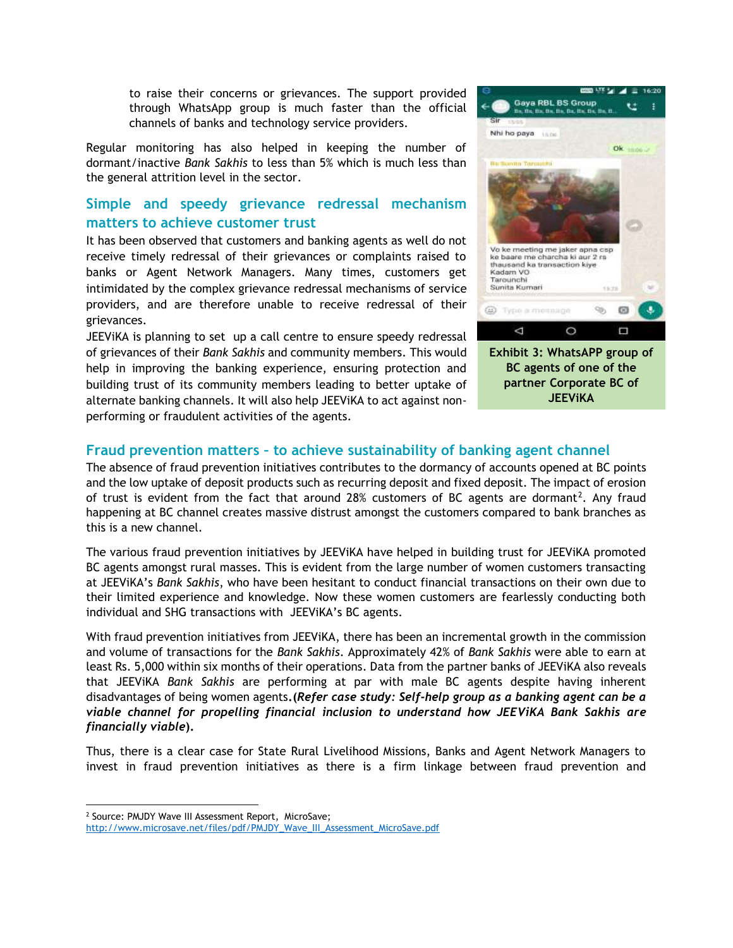to raise their concerns or grievances. The support provided through WhatsApp group is much faster than the official channels of banks and technology service providers.

Regular monitoring has also helped in keeping the number of dormant/inactive *Bank Sakhis* to less than 5% which is much less than the general attrition level in the sector.

## **Simple and speedy grievance redressal mechanism matters to achieve customer trust**

It has been observed that customers and banking agents as well do not receive timely redressal of their grievances or complaints raised to banks or Agent Network Managers. Many times, customers get intimidated by the complex grievance redressal mechanisms of service providers, and are therefore unable to receive redressal of their grievances.

JEEViKA is planning to set up a call centre to ensure speedy redressal of grievances of their *Bank Sakhis* and community members. This would help in improving the banking experience, ensuring protection and building trust of its community members leading to better uptake of alternate banking channels. It will also help JEEViKA to act against nonperforming or fraudulent activities of the agents.



### **Fraud prevention matters – to achieve sustainability of banking agent channel**

The absence of fraud prevention initiatives contributes to the dormancy of accounts opened at BC points and the low uptake of deposit products such as recurring deposit and fixed deposit. The impact of erosion of trust is evident from the fact that around 28% customers of BC agents are dormant<sup>2</sup>. Any fraud happening at BC channel creates massive distrust amongst the customers compared to bank branches as this is a new channel.

The various fraud prevention initiatives by JEEViKA have helped in building trust for JEEViKA promoted BC agents amongst rural masses. This is evident from the large number of women customers transacting at JEEViKA's *Bank Sakhis*, who have been hesitant to conduct financial transactions on their own due to their limited experience and knowledge. Now these women customers are fearlessly conducting both individual and SHG transactions with JEEViKA's BC agents.

With fraud prevention initiatives from JEEViKA, there has been an incremental growth in the commission and volume of transactions for the *Bank Sakhis*. Approximately 42% of *Bank Sakhis* were able to earn at least Rs. 5,000 within six months of their operations. Data from the partner banks of JEEViKA also reveals that JEEViKA *Bank Sakhis* are performing at par with male BC agents despite having inherent disadvantages of being women agents**.(***Refer case study: Self-help group as a banking agent can be a viable channel for propelling financial inclusion to understand how JEEViKA Bank Sakhis are financially viable***).**

Thus, there is a clear case for State Rural Livelihood Missions, Banks and Agent Network Managers to invest in fraud prevention initiatives as there is a firm linkage between fraud prevention and

<sup>&</sup>lt;sup>2</sup> Source: PMJDY Wave III Assessment Report, MicroSave;

[http://www.microsave.net/files/pdf/PMJDY\\_Wave\\_III\\_Assessment\\_MicroSave.pdf](http://www.microsave.net/files/pdf/PMJDY_Wave_III_Assessment_MicroSave.pdf)